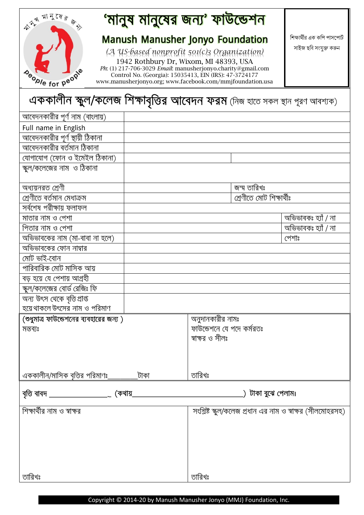| রা নু যে র ৡ<br>$\Delta$ |
|--------------------------|
|                          |
|                          |
| Deople for peop          |

# 'মানুষ মানুষের জন্য' ফাউন্ডেশন

#### **Manush Manusher Jonyo Foundation**

*(A US-based nonprofit 501(c)3 Organization)* 1942 Rothbury Dr, Wixom, MI 48393, USA *Ph*: (1) 217-706-3029 *Email*: manusherjonyo.charity@gmail.com Control No. (Georgia): 15035413, EIN (IRS): 47-3724177 [www.manusherjonyo.org;](http://www.manusherjonyo.org/) www.facebook.com/mmjfoundation.usa শিক্ষার্থীর এক কপি পাসপোর্ট সাইজ ছশি সংযুক্ত করুন

## এককালীন স্কুল/কলেজ শিক্ষাবৃত্তির আবেদন ফরম (নিজ হাতে সকল স্থান পূরণ আবশ্যক)

| আবেদনকারীর পূর্ণ নাম (বাংলায়)               |      |                           |                     |                                                           |
|----------------------------------------------|------|---------------------------|---------------------|-----------------------------------------------------------|
| Full name in English                         |      |                           |                     |                                                           |
| আবেদনকারীর পূর্ণ স্থায়ী ঠিকানা              |      |                           |                     |                                                           |
| আবেদনকারীর বর্তমান ঠিকানা                    |      |                           |                     |                                                           |
| যোগাযোগ (ফোন ও ইমেইল ঠিকানা)                 |      |                           |                     |                                                           |
| স্কুল/কলেজের নাম ও ঠিকানা                    |      |                           |                     |                                                           |
|                                              |      |                           |                     |                                                           |
| অধ্যয়নরত শ্রেণী                             |      |                           | জন্ম তারিখঃ         |                                                           |
| শ্ৰেণীতে বৰ্তমান মেধাক্ৰম                    |      | শ্ৰেণীতে মোট শিক্ষাৰ্থীঃ  |                     |                                                           |
| সৰ্বশেষ পরীক্ষায় ফলাফল                      |      |                           |                     |                                                           |
| মাতার নাম ও পেশা                             |      |                           |                     | অভিভাবকঃ হ্যাঁ / না                                       |
| পিতার নাম ও পেশা                             |      |                           |                     | অভিভাবকঃ হ্যাঁ / না                                       |
| অভিভাবকের নাম (মা-বাবা না হলে)               |      |                           |                     | পেশাঃ                                                     |
| অভিভাবকের ফোন নাম্বার                        |      |                           |                     |                                                           |
| মোট ভাই-বোন                                  |      |                           |                     |                                                           |
| পারিবারিক মোট মাসিক আয়                      |      |                           |                     |                                                           |
| বড় হয়ে যে পেশায় আগ্রহী                    |      |                           |                     |                                                           |
| স্কুল/কলেজের বোর্ড রেজিঃ ফি                  |      |                           |                     |                                                           |
| অন্য উৎস থেকে বৃত্তি প্ৰাপ্ত                 |      |                           |                     |                                                           |
| হয়ে থাকলে উৎসের নাম ও পরিমাণ                |      |                           |                     |                                                           |
| (শুধুমাত্র ফাউন্ডেশনের ব্যবহারের জন্য)       |      | অনুদানকারীর নামঃ          |                     |                                                           |
| মন্তব্যঃ                                     |      | ফাউন্ডেশনে যে পদে কর্মরতঃ |                     |                                                           |
|                                              |      | স্বাক্ষর ও সীলঃ           |                     |                                                           |
|                                              |      |                           |                     |                                                           |
|                                              |      |                           |                     |                                                           |
|                                              |      |                           |                     |                                                           |
| এককালীন/মাসিক বৃত্তির পরিমাণঃ                | টাকা | তারিখঃ                    |                     |                                                           |
| বৃত্তি বাবদ _____________________<br>(কথায়_ |      |                           | ়) টাকা বুঝে পেলাম। |                                                           |
|                                              |      |                           |                     |                                                           |
| শিক্ষার্থীর নাম ও স্বাক্ষর                   |      |                           |                     | সংশ্লিষ্ট স্কুল/কলেজ প্রধান এর নাম ও স্বাক্ষর (সীলমোহরসহ) |
|                                              |      |                           |                     |                                                           |
|                                              |      |                           |                     |                                                           |
|                                              |      |                           |                     |                                                           |
|                                              |      |                           |                     |                                                           |
|                                              |      |                           |                     |                                                           |
|                                              |      |                           |                     |                                                           |
| তারিখঃ                                       |      | তারিখঃ                    |                     |                                                           |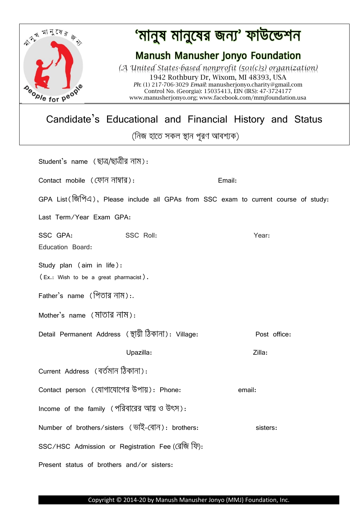

## 'মানুষ মানুষের জন্য' ফাউন্ডেশন

### **Manush Manusher Jonyo Foundation**

*(A United States-based nonprofit (501(c)3) organization)* 1942 Rothbury Dr, Wixom, MI 48393, USA *Ph*: (1) 217-706-3029 *Email*: manusherjonyo.charity@gmail.com Control No. (Georgia): 15035413, EIN (IRS): 47-3724177 [www.manusherjonyo.org;](http://www.manusherjonyo.org/) www.facebook.com/mmjfoundation.usa

Candidate's Educational and Financial History and Status

(নিজ হাতে সকল স্থান পূরণ আবশ্যক)

| Student's name (ছাত্ৰ/ছাত্ৰীর নাম):                                                  |           |        |          |              |  |  |
|--------------------------------------------------------------------------------------|-----------|--------|----------|--------------|--|--|
| Contact mobile (ফোন নাম্বার):                                                        |           | Email: |          |              |  |  |
| GPA List ( জিপিএ), Please include all GPAs from SSC exam to current course of study: |           |        |          |              |  |  |
| Last Term/Year Exam GPA:                                                             |           |        |          |              |  |  |
| SSC GPA:<br>Education Board:                                                         | SSC Roll: |        | Year:    |              |  |  |
| Study plan (aim in life):<br>(Ex.: Wish to be a great pharmacist).                   |           |        |          |              |  |  |
| Father's name (পিতার নাম):.                                                          |           |        |          |              |  |  |
| Mother's name (মাতার নাম):                                                           |           |        |          |              |  |  |
| Detail Permanent Address (স্থায়ী ঠিকানা): Village:                                  |           |        |          | Post office: |  |  |
|                                                                                      | Upazilla: |        | Zilla:   |              |  |  |
| Current Address (বৰ্তমান ঠিকানা):                                                    |           |        |          |              |  |  |
| Contact person (যোগাযোগের উপায়): Phone:                                             |           |        | email:   |              |  |  |
| Income of the family (পরিবারের আয় ও উৎস):                                           |           |        |          |              |  |  |
| Number of brothers/sisters (ভাই-বোন): brothers:                                      |           |        | sisters: |              |  |  |
| SSC/HSC Admission or Registration Fee (রেজি ফি):                                     |           |        |          |              |  |  |
| Present status of brothers and/or sisters:                                           |           |        |          |              |  |  |